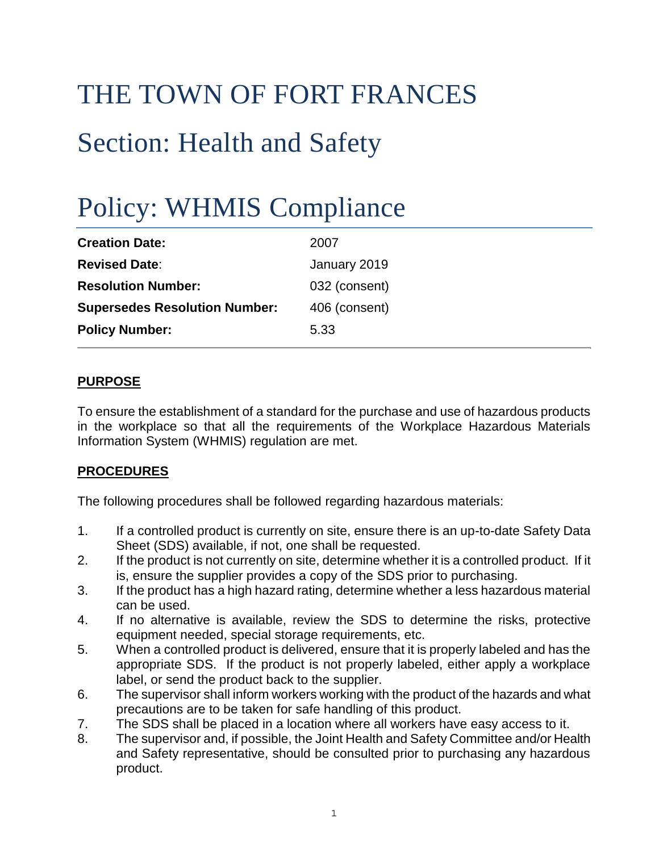# THE TOWN OF FORT FRANCES Section: Health and Safety

# Policy: WHMIS Compliance

| <b>Creation Date:</b>                | 2007          |
|--------------------------------------|---------------|
| <b>Revised Date:</b>                 | January 2019  |
| <b>Resolution Number:</b>            | 032 (consent) |
| <b>Supersedes Resolution Number:</b> | 406 (consent) |
| <b>Policy Number:</b>                | 5.33          |

#### **PURPOSE**

To ensure the establishment of a standard for the purchase and use of hazardous products in the workplace so that all the requirements of the Workplace Hazardous Materials Information System (WHMIS) regulation are met.

#### **PROCEDURES**

The following procedures shall be followed regarding hazardous materials:

- 1. If a controlled product is currently on site, ensure there is an up-to-date Safety Data Sheet (SDS) available, if not, one shall be requested.
- 2. If the product is not currently on site, determine whether it is a controlled product. If it is, ensure the supplier provides a copy of the SDS prior to purchasing.
- 3. If the product has a high hazard rating, determine whether a less hazardous material can be used.
- 4. If no alternative is available, review the SDS to determine the risks, protective equipment needed, special storage requirements, etc.
- 5. When a controlled product is delivered, ensure that it is properly labeled and has the appropriate SDS. If the product is not properly labeled, either apply a workplace label, or send the product back to the supplier.
- 6. The supervisor shall inform workers working with the product of the hazards and what precautions are to be taken for safe handling of this product.
- 7. The SDS shall be placed in a location where all workers have easy access to it.
- 8. The supervisor and, if possible, the Joint Health and Safety Committee and/or Health and Safety representative, should be consulted prior to purchasing any hazardous product.